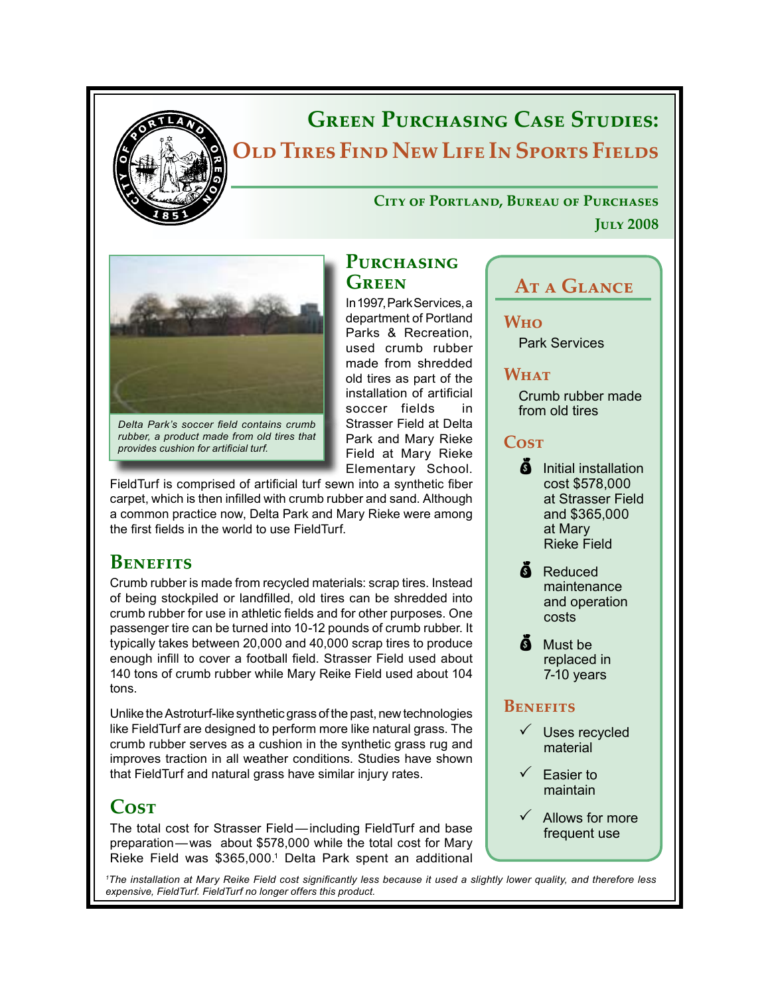

# **Green Purchasing Case Studies: Old Tires Find New Life In Sports Fields**

**City of Portland, Bureau of Purchases July 2008**



*Delta Park's soccer field contains crumb rubber, a product made from old tires that provides cushion for artificial turf.*

FieldTurf is comprised of artificial turf sewn into a synthetic fiber carpet, which is then infilled with crumb rubber and sand. Although a common practice now, Delta Park and Mary Rieke were among the first fields in the world to use FieldTurf.

# **Benefits**

Crumb rubber is made from recycled materials: scrap tires. Instead of being stockpiled or landfilled, old tires can be shredded into crumb rubber for use in athletic fields and for other purposes. One passenger tire can be turned into 10-12 pounds of crumb rubber. It typically takes between 20,000 and 40,000 scrap tires to produce enough infill to cover a football field. Strasser Field used about 140 tons of crumb rubber while Mary Reike Field used about 104 tons.

Unlike the Astroturf-like synthetic grass of the past, new technologies like FieldTurf are designed to perform more like natural grass. The crumb rubber serves as a cushion in the synthetic grass rug and improves traction in all weather conditions. Studies have shown that FieldTurf and natural grass have similar injury rates.

# **Cost**

The total cost for Strasser Field—including FieldTurf and base preparation—was about \$578,000 while the total cost for Mary Rieke Field was \$365,000.<sup>1</sup> Delta Park spent an additional

**Who**

**WHAT** 

**Cost**

**At a Glance**

Crumb rubber made

Park Services

from old tires

# PURCHASING **Green**

In 1997, Park Services, a department of Portland Parks & Recreation, used crumb rubber made from shredded old tires as part of the installation of artificial soccer fields in Strasser Field at Delta Park and Mary Rieke Field at Mary Rieke Elementary School.

**S** Initial installation cost \$578,000 at Strasser Field and \$365,000 at Mary Rieke Field **A** Reduced

maintenance and operation costs

 $\ddot{\mathbf{a}}$  Must be replaced in 7-10 years

#### **Benefits**

- Uses recycled material
- $\checkmark$  Easier to maintain
- Allows for more frequent use

*1 The installation at Mary Reike Field cost significantly less because it used a slightly lower quality, and therefore less expensive, FieldTurf. FieldTurf no longer offers this product.*